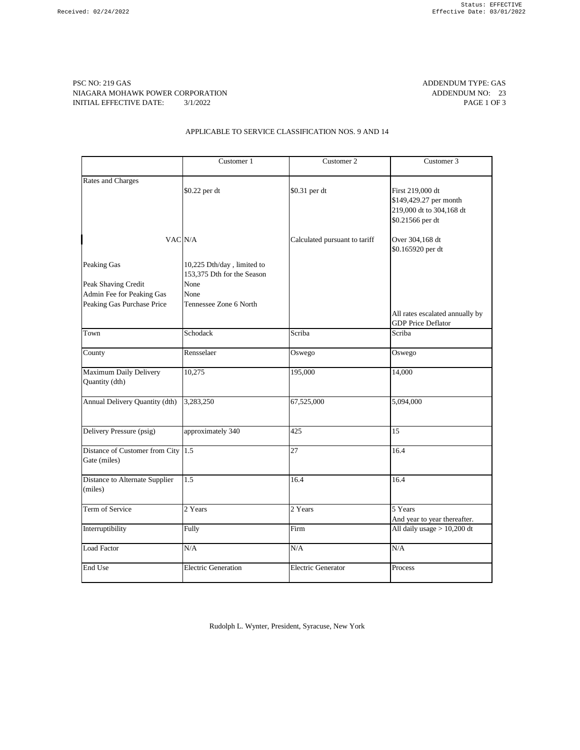PSC NO: 219 GAS ADDENDUM TYPE: GAS NIAGARA MOHAWK POWER CORPORATION **ADDENDUM NO:** 23 INITIAL EFFECTIVE DATE:  $3/1/2022$  PAGE 1 OF 3

## APPLICABLE TO SERVICE CLASSIFICATION NOS. 9 AND 14

|                                                      | Customer 1                                               | Customer 2                    | Customer 3                                                                                 |
|------------------------------------------------------|----------------------------------------------------------|-------------------------------|--------------------------------------------------------------------------------------------|
| <b>Rates and Charges</b>                             | \$0.22 per dt                                            | \$0.31 per dt                 | First 219,000 dt<br>\$149,429.27 per month<br>219,000 dt to 304,168 dt<br>\$0.21566 per dt |
| VAC N/A                                              |                                                          | Calculated pursuant to tariff | Over 304,168 dt<br>\$0.165920 per dt                                                       |
| <b>Peaking Gas</b>                                   | 10,225 Dth/day, limited to<br>153,375 Dth for the Season |                               |                                                                                            |
| Peak Shaving Credit<br>Admin Fee for Peaking Gas     | None<br>None                                             |                               |                                                                                            |
| Peaking Gas Purchase Price                           | Tennessee Zone 6 North                                   |                               | All rates escalated annually by<br><b>GDP Price Deflator</b>                               |
| Town                                                 | Schodack                                                 | Scriba                        | Scriba                                                                                     |
| County                                               | Rensselaer                                               | Oswego                        | Oswego                                                                                     |
| <b>Maximum Daily Delivery</b><br>Quantity (dth)      | 10,275                                                   | 195,000                       | 14,000                                                                                     |
| Annual Delivery Quantity (dth)                       | 3,283,250                                                | 67,525,000                    | 5,094,000                                                                                  |
| Delivery Pressure (psig)                             | approximately 340                                        | 425                           | 15                                                                                         |
| Distance of Customer from City $1.5$<br>Gate (miles) |                                                          | 27                            | 16.4                                                                                       |
| Distance to Alternate Supplier<br>(miles)            | 1.5                                                      | 16.4                          | 16.4                                                                                       |
| Term of Service                                      | 2 Years                                                  | 2 Years                       | 5 Years<br>And year to year thereafter.                                                    |
| Interruptibility                                     | Fully                                                    | Firm                          | All daily usage $> 10,200$ dt                                                              |
| Load Factor                                          | $\rm N/A$                                                | N/A                           | N/A                                                                                        |
| End Use                                              | <b>Electric Generation</b>                               | <b>Electric Generator</b>     | Process                                                                                    |

Rudolph L. Wynter, President, Syracuse, New York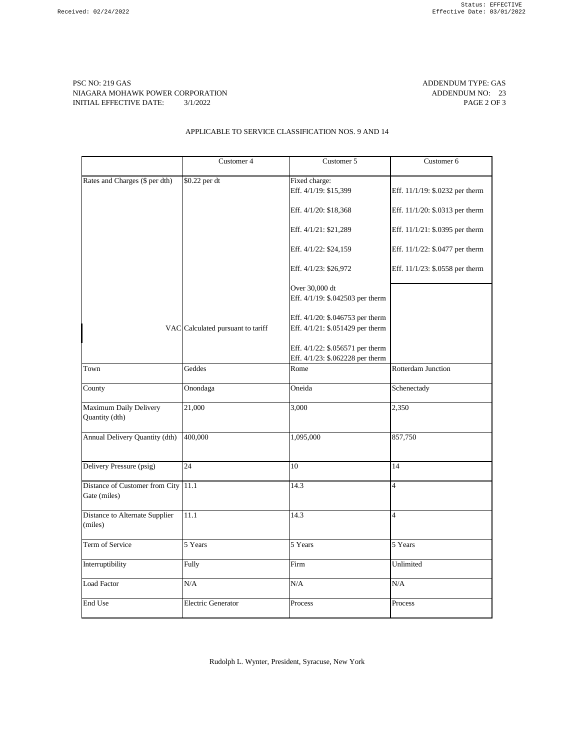PSC NO: 219 GAS ADDENDUM TYPE: GAS NIAGARA MOHAWK POWER CORPORATION **ADDENDUM NO:** 23 INITIAL EFFECTIVE DATE:  $3/1/2022$  PAGE 2 OF 3

## APPLICABLE TO SERVICE CLASSIFICATION NOS. 9 AND 14

|                                                     | Customer 4                        | Customer 5                             | Customer 6                      |
|-----------------------------------------------------|-----------------------------------|----------------------------------------|---------------------------------|
|                                                     |                                   |                                        |                                 |
| Rates and Charges (\$ per dth)                      | \$0.22 per dt                     | Fixed charge:<br>Eff. 4/1/19: \$15,399 | Eff. 11/1/19: \$.0232 per therm |
|                                                     |                                   | Eff. 4/1/20: \$18,368                  | Eff. 11/1/20: \$.0313 per therm |
|                                                     |                                   | Eff. 4/1/21: \$21,289                  | Eff. 11/1/21: \$.0395 per therm |
|                                                     |                                   | Eff. 4/1/22: \$24,159                  | Eff. 11/1/22: \$.0477 per therm |
|                                                     |                                   | Eff. 4/1/23: \$26,972                  | Eff. 11/1/23: \$.0558 per therm |
|                                                     |                                   | Over 30,000 dt                         |                                 |
|                                                     |                                   |                                        |                                 |
|                                                     |                                   | Eff. 4/1/19: \$.042503 per therm       |                                 |
|                                                     |                                   | Eff. 4/1/20: \$.046753 per therm       |                                 |
|                                                     | VAC Calculated pursuant to tariff | Eff. 4/1/21: \$.051429 per therm       |                                 |
|                                                     |                                   | Eff. 4/1/22: \$.056571 per therm       |                                 |
|                                                     |                                   | Eff. 4/1/23: \$.062228 per therm       |                                 |
| Town                                                | Geddes                            | Rome                                   | Rotterdam Junction              |
| County                                              | Onondaga                          | Oneida                                 | Schenectady                     |
| Maximum Daily Delivery<br>Quantity (dth)            | 21,000                            | 3,000                                  | 2,350                           |
| Annual Delivery Quantity (dth)                      | 400,000                           | 1,095,000                              | 857,750                         |
| Delivery Pressure (psig)                            | 24                                | 10                                     | 14                              |
| Distance of Customer from City 11.1<br>Gate (miles) |                                   | 14.3                                   | $\overline{4}$                  |
| Distance to Alternate Supplier<br>(miles)           | 11.1                              | 14.3                                   | $\overline{4}$                  |
| Term of Service                                     | 5 Years                           | 5 Years                                | 5 Years                         |
| Interruptibility                                    | Fully                             | Firm                                   | Unlimited                       |
| Load Factor                                         | N/A                               | $\rm N/A$                              | N/A                             |
| End Use                                             | <b>Electric Generator</b>         | Process                                | Process                         |

Rudolph L. Wynter, President, Syracuse, New York